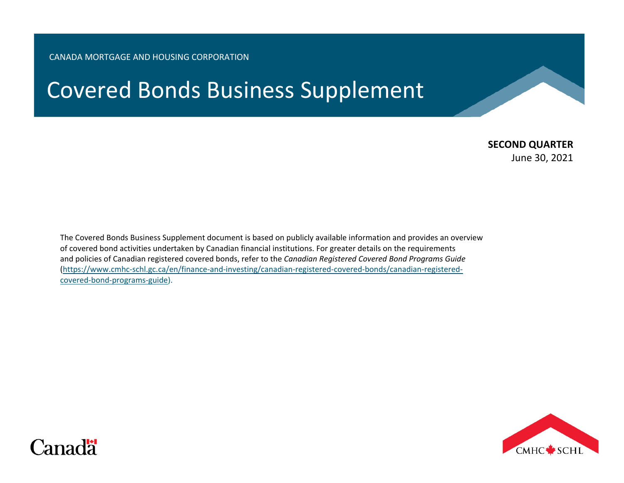#### CANADA MORTGAGE AND HOUSING CORPORATION

# Covered Bonds Business Supplement

## **SECOND QUARTER**

June 30, 2021

The Covered Bonds Business Supplement document is based on publicly available information and provides an overview of covered bond activities undertaken by Canadian financial institutions. For greater details on the requirements and policies of Canadian registered covered bonds, refer to the *Canadian Registered Covered Bond Programs Guide* [\(https://www.cmhc-schl.gc.ca/en/finance-and-investing/canadian-registered-covered-bonds/canadian-registered](https://www.cmhc-schl.gc.ca/en/finance-and-investing/canadian-registered-covered-bonds/canadian-registered-covered-bond-programs-guide)[covered-bond-programs-guide\)](https://www.cmhc-schl.gc.ca/en/finance-and-investing/canadian-registered-covered-bonds/canadian-registered-covered-bond-programs-guide).



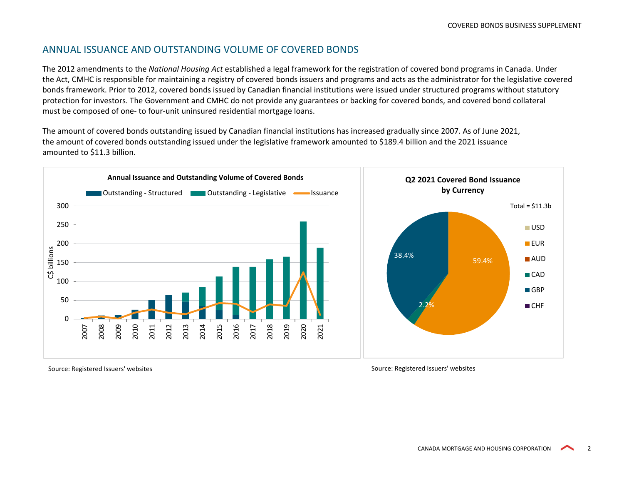#### ANNUAL ISSUANCE AND OUTSTANDING VOLUME OF COVERED BONDS

The 2012 amendments to the *National Housing Act* established a legal framework for the registration of covered bond programs in Canada. Under the Act, CMHC is responsible for maintaining a registry of covered bonds issuers and programs and acts as the administrator for the legislative covered bonds framework. Prior to 2012, covered bonds issued by Canadian financial institutions were issued under structured programs without statutory protection for investors. The Government and CMHC do not provide any guarantees or backing for covered bonds, and covered bond collateral must be composed of one- to four-unit uninsured residential mortgage loans.

The amount of covered bonds outstanding issued by Canadian financial institutions has increased gradually since 2007. As of June 2021, the amount of covered bonds outstanding issued under the legislative framework amounted to \$189.4 billion and the 2021 issuance amounted to \$11.3 billion.



Source: Registered Issuers' websites Source: Registered Issuers' websites Source: Registered Issuers' websites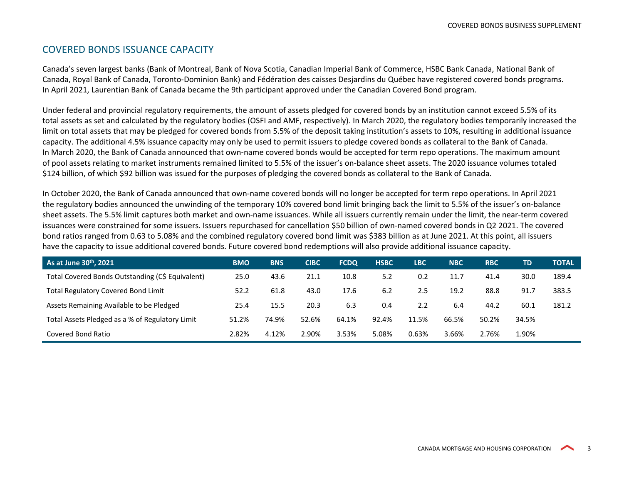#### COVERED BONDS ISSUANCE CAPACITY

Canada's seven largest banks (Bank of Montreal, Bank of Nova Scotia, Canadian Imperial Bank of Commerce, HSBC Bank Canada, National Bank of Canada, Royal Bank of Canada, Toronto-Dominion Bank) and Fédération des caisses Desjardins du Québec have registered covered bonds programs. In April 2021, Laurentian Bank of Canada became the 9th participant approved under the Canadian Covered Bond program.

Under federal and provincial regulatory requirements, the amount of assets pledged for covered bonds by an institution cannot exceed 5.5% of its total assets as set and calculated by the regulatory bodies (OSFI and AMF, respectively). In March 2020, the regulatory bodies temporarily increased the limit on total assets that may be pledged for covered bonds from 5.5% of the deposit taking institution's assets to 10%, resulting in additional issuance capacity. The additional 4.5% issuance capacity may only be used to permit issuers to pledge covered bonds as collateral to the Bank of Canada. In March 2020, the Bank of Canada announced that own-name covered bonds would be accepted for term repo operations. The maximum amount of pool assets relating to market instruments remained limited to 5.5% of the issuer's on-balance sheet assets. The 2020 issuance volumes totaled \$124 billion, of which \$92 billion was issued for the purposes of pledging the covered bonds as collateral to the Bank of Canada.

In October 2020, the Bank of Canada announced that own-name covered bonds will no longer be accepted for term repo operations. In April 2021 the regulatory bodies announced the unwinding of the temporary 10% covered bond limit bringing back the limit to 5.5% of the issuer's on-balance sheet assets. The 5.5% limit captures both market and own-name issuances. While all issuers currently remain under the limit, the near-term covered issuances were constrained for some issuers. Issuers repurchased for cancellation \$50 billion of own-named covered bonds in Q2 2021. The covered bond ratios ranged from 0.63 to 5.08% and the combined regulatory covered bond limit was \$383 billion as at June 2021. At this point, all issuers have the capacity to issue additional covered bonds. Future covered bond redemptions will also provide additional issuance capacity.

| As at June 30th, 2021                            | <b>BMO</b> | <b>BNS</b> | <b>CIBC</b> | <b>FCDQ</b> | <b>HSBC</b> | <b>LBC</b> | <b>NBC</b> | <b>RBC</b> | TD    | <b>TOTAL</b> |
|--------------------------------------------------|------------|------------|-------------|-------------|-------------|------------|------------|------------|-------|--------------|
| Total Covered Bonds Outstanding (C\$ Equivalent) | 25.0       | 43.6       | 21.1        | 10.8        | 5.2         | 0.2        | 11.7       | 41.4       | 30.0  | 189.4        |
| <b>Total Regulatory Covered Bond Limit</b>       | 52.2       | 61.8       | 43.0        | 17.6        | 6.2         | 2.5        | 19.2       | 88.8       | 91.7  | 383.5        |
| Assets Remaining Available to be Pledged         | 25.4       | 15.5       | 20.3        | 6.3         | 0.4         | 2.2        | 6.4        | 44.2       | 60.1  | 181.2        |
| Total Assets Pledged as a % of Regulatory Limit  | 51.2%      | 74.9%      | 52.6%       | 64.1%       | 92.4%       | 11.5%      | 66.5%      | 50.2%      | 34.5% |              |
| Covered Bond Ratio                               | 2.82%      | 4.12%      | 2.90%       | 3.53%       | 5.08%       | 0.63%      | 3.66%      | 2.76%      | 1.90% |              |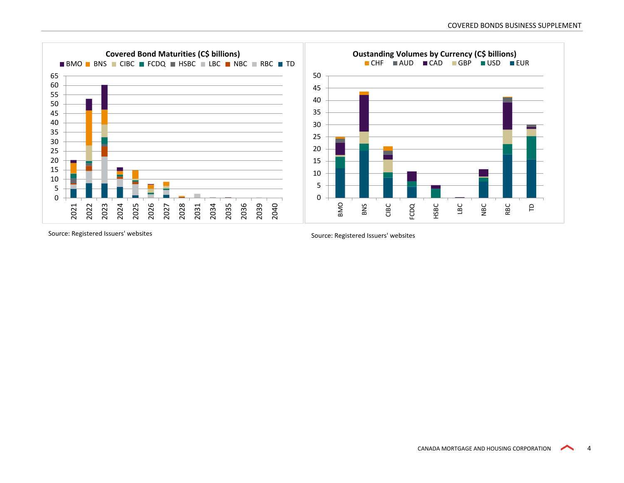

Source: Registered Issuers' websites Source: Registered Issuers' websites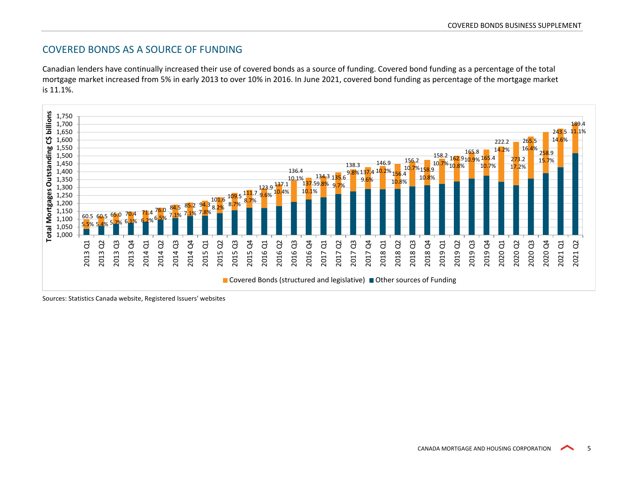### COVERED BONDS AS A SOURCE OF FUNDING

Canadian lenders have continually increased their use of covered bonds as a source of funding. Covered bond funding as a percentage of the total mortgage market increased from 5% in early 2013 to over 10% in 2016. In June 2021, covered bond funding as percentage of the mortgage market is 11.1%.



Sources: Statistics Canada website, Registered Issuers' websites